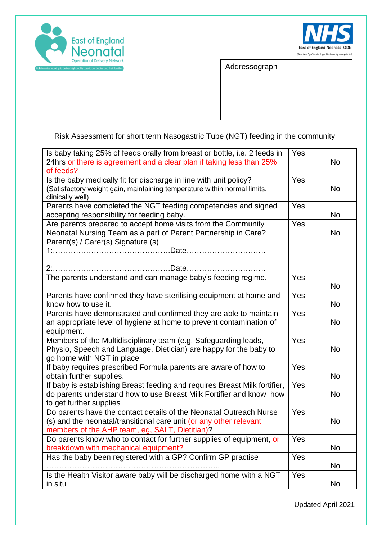



Addressograph

## Risk Assessment for short term Nasogastric Tube (NGT) feeding in the community

| Is baby taking 25% of feeds orally from breast or bottle, i.e. 2 feeds in  | Yes |           |
|----------------------------------------------------------------------------|-----|-----------|
| 24hrs or there is agreement and a clear plan if taking less than 25%       |     | No.       |
| of feeds?                                                                  |     |           |
| Is the baby medically fit for discharge in line with unit policy?          | Yes |           |
| (Satisfactory weight gain, maintaining temperature within normal limits,   |     | No        |
| clinically well)                                                           |     |           |
| Parents have completed the NGT feeding competencies and signed             | Yes |           |
| accepting responsibility for feeding baby.                                 |     | No        |
| Are parents prepared to accept home visits from the Community              | Yes |           |
| Neonatal Nursing Team as a part of Parent Partnership in Care?             |     | No        |
| Parent(s) / Carer(s) Signature (s)                                         |     |           |
|                                                                            |     |           |
|                                                                            |     |           |
|                                                                            |     |           |
| The parents understand and can manage baby's feeding regime.               | Yes |           |
|                                                                            |     | No        |
| Parents have confirmed they have sterilising equipment at home and         | Yes |           |
| know how to use it.                                                        |     | No        |
| Parents have demonstrated and confirmed they are able to maintain          | Yes |           |
| an appropriate level of hygiene at home to prevent contamination of        |     | No        |
| equipment.                                                                 |     |           |
| Members of the Multidisciplinary team (e.g. Safeguarding leads,            | Yes |           |
| Physio, Speech and Language, Dietician) are happy for the baby to          |     | No        |
| go home with NGT in place                                                  |     |           |
| If baby requires prescribed Formula parents are aware of how to            | Yes |           |
| obtain further supplies.                                                   |     | No        |
| If baby is establishing Breast feeding and requires Breast Milk fortifier, | Yes |           |
| do parents understand how to use Breast Milk Fortifier and know how        |     | <b>No</b> |
| to get further supplies                                                    |     |           |
| Do parents have the contact details of the Neonatal Outreach Nurse         | Yes |           |
| (s) and the neonatal/transitional care unit (or any other relevant         |     | No        |
| members of the AHP team, eg, SALT, Dietitian)?                             |     |           |
| Do parents know who to contact for further supplies of equipment, or       | Yes |           |
| breakdown with mechanical equipment?                                       |     | No        |
| Has the baby been registered with a GP? Confirm GP practise                | Yes |           |
|                                                                            |     | No        |
|                                                                            |     |           |
| Is the Health Visitor aware baby will be discharged home with a NGT        | Yes |           |
| in situ                                                                    |     | No        |

Updated April 2021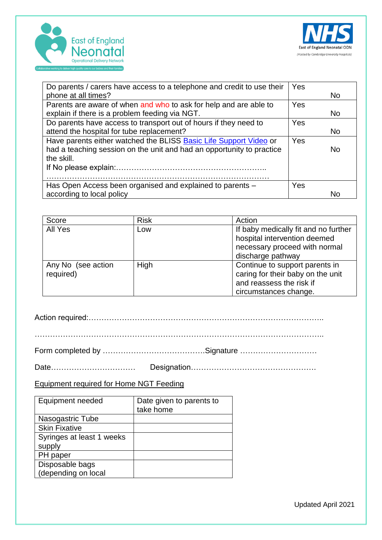



| Do parents / carers have access to a telephone and credit to use their | Yes |           |
|------------------------------------------------------------------------|-----|-----------|
| phone at all times?                                                    |     | <b>No</b> |
| Parents are aware of when and who to ask for help and are able to      | Yes |           |
| explain if there is a problem feeding via NGT.                         |     | <b>No</b> |
| Do parents have access to transport out of hours if they need to       | Yes |           |
| attend the hospital for tube replacement?                              |     | <b>No</b> |
| Have parents either watched the BLISS Basic Life Support Video or      | Yes |           |
| had a teaching session on the unit and had an opportunity to practice  |     | No        |
| the skill.                                                             |     |           |
|                                                                        |     |           |
|                                                                        |     |           |
| Has Open Access been organised and explained to parents -              | Yes |           |
| according to local policy                                              |     | Nο        |

| Score              | <b>Risk</b> | Action                               |
|--------------------|-------------|--------------------------------------|
| All Yes            | Low         | If baby medically fit and no further |
|                    |             | hospital intervention deemed         |
|                    |             | necessary proceed with normal        |
|                    |             | discharge pathway                    |
| Any No (see action | High        | Continue to support parents in       |
| required)          |             | caring for their baby on the unit    |
|                    |             | and reassess the risk if             |
|                    |             | circumstances change.                |

Action required:………………………………………………………………………………..

Form completed by ………………………………….Signature …………………………

Date…………………………… Designation………………………………………….

Equipment required for Home NGT Feeding

| Equipment needed          | Date given to parents to<br>take home |
|---------------------------|---------------------------------------|
| Nasogastric Tube          |                                       |
| <b>Skin Fixative</b>      |                                       |
| Syringes at least 1 weeks |                                       |
| supply                    |                                       |
| PH paper                  |                                       |
| Disposable bags           |                                       |
| (depending on local       |                                       |

Updated April 2021